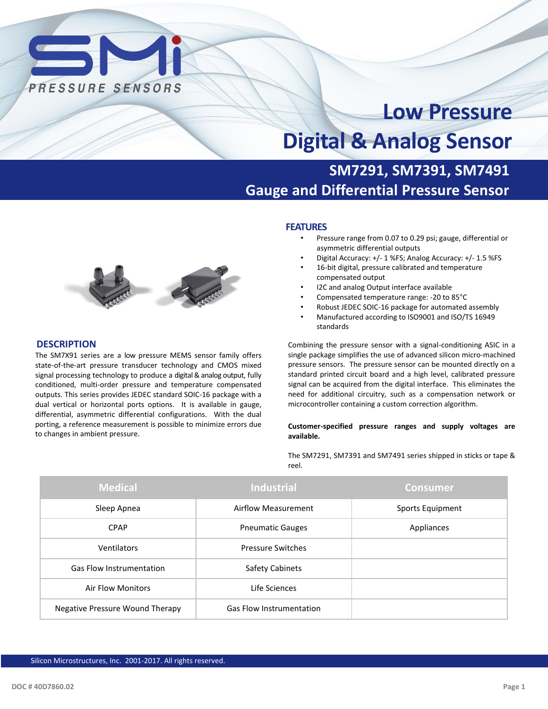

# **Low Pressure Digital & Analog Sensor**

# **SM7291, SM7391, SM7491 Gauge and Differential Pressure Sensor**



- Pressure range from 0.07 to 0.29 psi; gauge, differential or asymmetric differential outputs
- Digital Accuracy: +/- 1 %FS; Analog Accuracy: +/- 1.5 %FS
- 16-bit digital, pressure calibrated and temperature compensated output
- I2C and analog Output interface available
- Compensated temperature range: -20 to 85°C
- Robust JEDEC SOIC-16 package for automated assembly
- Manufactured according to ISO9001 and ISO/TS 16949 standards

Combining the pressure sensor with a signal-conditioning ASIC in a single package simplifies the use of advanced silicon micro-machined pressure sensors. The pressure sensor can be mounted directly on a standard printed circuit board and a high level, calibrated pressure signal can be acquired from the digital interface. This eliminates the need for additional circuitry, such as a compensation network or microcontroller containing a custom correction algorithm.

#### **Customer-specified pressure ranges and supply voltages are available.**

The SM7291, SM7391 and SM7491 series shipped in sticks or tape & reel.

| <b>Medical</b>                  | <b>Industrial</b>               | <b>Consumer</b>  |
|---------------------------------|---------------------------------|------------------|
| Sleep Apnea                     | Airflow Measurement             | Sports Equipment |
| <b>CPAP</b>                     | <b>Pneumatic Gauges</b>         | Appliances       |
| Ventilators                     | <b>Pressure Switches</b>        |                  |
| <b>Gas Flow Instrumentation</b> | <b>Safety Cabinets</b>          |                  |
| <b>Air Flow Monitors</b>        | Life Sciences                   |                  |
| Negative Pressure Wound Therapy | <b>Gas Flow Instrumentation</b> |                  |



#### **DESCRIPTION**

The SM7X91 series are a low pressure MEMS sensor family offers state-of-the-art pressure transducer technology and CMOS mixed signal processing technology to produce a digital & analog output, fully conditioned, multi-order pressure and temperature compensated outputs. This series provides JEDEC standard SOIC-16 package with a dual vertical or horizontal ports options. It is available in gauge, differential, asymmetric differential configurations. With the dual porting, a reference measurement is possible to minimize errors due to changes in ambient pressure.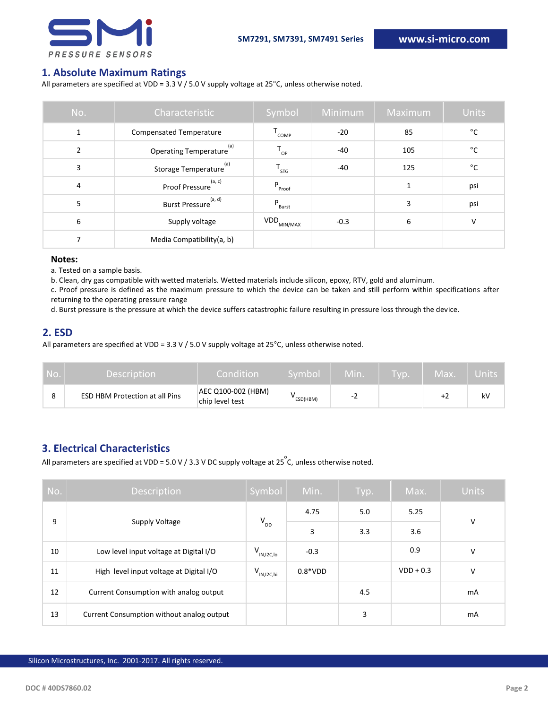

### **1. Absolute Maximum Ratings**

All parameters are specified at VDD = 3.3 V / 5.0 V supply voltage at 25°C, unless otherwise noted.

| No.           | Characteristic                       | Symbol             | Minimum | Maximum | <b>Units</b> |
|---------------|--------------------------------------|--------------------|---------|---------|--------------|
| 1             | <b>Compensated Temperature</b>       | $T_{\text{COMP}}$  | $-20$   | 85      | °C           |
| $\mathcal{P}$ | Operating Temperature <sup>(a)</sup> | $T_{_{OP}}$        | $-40$   | 105     | $^{\circ}$ C |
| 3             | (a)<br>Storage Temperature           | Т $_{\sf STG}$     | $-40$   | 125     | °C           |
| 4             | (a, c)<br>Proof Pressure             | $P_{\text{Proof}}$ |         | 1       | psi          |
| 5             | (a, d)<br><b>Burst Pressure</b>      | P<br>Burst         |         | 3       | psi          |
| 6             | Supply voltage                       | VDD.<br>MIN/MAX    | $-0.3$  | 6       | V            |
| ⇁             | Media Compatibility(a, b)            |                    |         |         |              |

#### **Notes:**

a. Tested on a sample basis.

b. Clean, dry gas compatible with wetted materials. Wetted materials include silicon, epoxy, RTV, gold and aluminum.

c. Proof pressure is defined as the maximum pressure to which the device can be taken and still perform within specifications after returning to the operating pressure range

d. Burst pressure is the pressure at which the device suffers catastrophic failure resulting in pressure loss through the device.

#### **2. ESD**

All parameters are specified at VDD = 3.3 V / 5.0 V supply voltage at 25°C, unless otherwise noted.

| No. I | <b>Description</b>                    | Condition                             | Symbol   | Min. | <b>TVD.</b> | Max. | Units |
|-------|---------------------------------------|---------------------------------------|----------|------|-------------|------|-------|
|       | <b>ESD HBM Protection at all Pins</b> | AEC Q100-002 (HBM)<br>chip level test | ESD(HBM) | -2   |             |      | kV    |

# **3. Electrical Characteristics**

All parameters are specified at VDD = 5.0 V / 3.3 V DC supply voltage at 25  $\degree$ C, unless otherwise noted.

| No. | Description                               | Symbol            | Min.      | Typ. | Max.        | <b>Units</b> |
|-----|-------------------------------------------|-------------------|-----------|------|-------------|--------------|
| 9   |                                           | $V_{DD}$          | 4.75      | 5.0  | 5.25        | $\vee$       |
|     | Supply Voltage                            |                   | 3         | 3.3  | 3.6         |              |
| 10  | Low level input voltage at Digital I/O    | $V_{IN,I2C,lo}$   | $-0.3$    |      | 0.9         | V            |
| 11  | High level input voltage at Digital I/O   | $V_{IN, I2C, hi}$ | $0.8*VDD$ |      | $VDD + 0.3$ | V            |
| 12  | Current Consumption with analog output    |                   |           | 4.5  |             | mA           |
| 13  | Current Consumption without analog output |                   |           | 3    |             | mA           |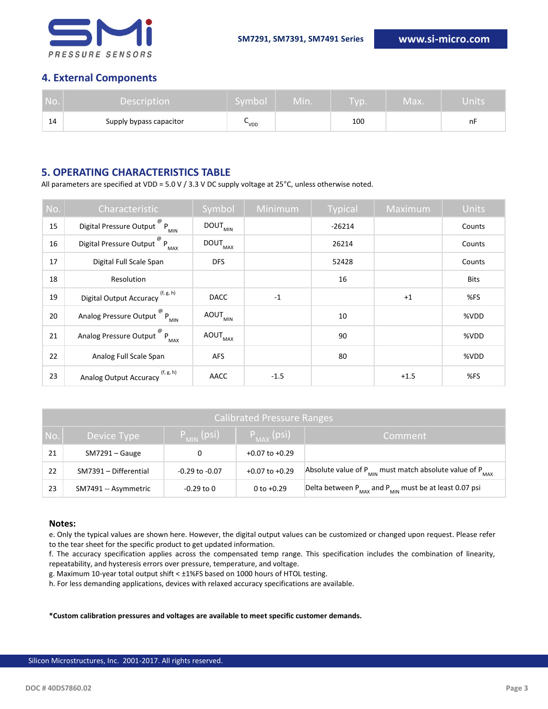

# **4. External Components**

| No. | <b>Description</b>      | Symbol | Min. | VD. | Max. | Units |
|-----|-------------------------|--------|------|-----|------|-------|
| 14  | Supply bypass capacitor | VDD    |      | 100 |      | nF    |

# **5. OPERATING CHARACTERISTICS TABLE**

All parameters are specified at VDD = 5.0 V / 3.3 V DC supply voltage at 25°C, unless otherwise noted.

| No. | Characteristic                                          | Symbol                         | Minimum | <b>Typical</b> | Maximum | Units       |
|-----|---------------------------------------------------------|--------------------------------|---------|----------------|---------|-------------|
| 15  | Digital Pressure Output $^{\circledR}$ P <sub>MIN</sub> | $\mathsf{DOUT}_\mathsf{MIN}$   |         | $-26214$       |         | Counts      |
| 16  | Digital Pressure Output $^{\circledR}$ P <sub>MAX</sub> | $\texttt{DOUT}_{\texttt{MAX}}$ |         | 26214          |         | Counts      |
| 17  | Digital Full Scale Span                                 | <b>DFS</b>                     |         | 52428          |         | Counts      |
| 18  | Resolution                                              |                                |         | 16             |         | <b>Bits</b> |
| 19  | (f, g, h)<br>Digital Output Accuracy                    | <b>DACC</b>                    | $-1$    |                | $+1$    | %FS         |
| 20  | Analog Pressure Output $^{\circledR}$ P <sub>MIN</sub>  | $\mathsf{AOUT}_{\mathsf{MIN}}$ |         | 10             |         | %VDD        |
| 21  | Analog Pressure Output <sup>@</sup> P <sub>MAX</sub>    | $\mathsf{AOUT}_{\mathsf{MAX}}$ |         | 90             |         | %VDD        |
| 22  | Analog Full Scale Span                                  | <b>AFS</b>                     |         | 80             |         | %VDD        |
| 23  | (f, g, h)<br><b>Analog Output Accuracy</b>              | AACC                           | $-1.5$  |                | $+1.5$  | %FS         |

| <b>Calibrated Pressure Ranges</b> |                                                                        |                    |                    |                                                                                  |  |  |  |
|-----------------------------------|------------------------------------------------------------------------|--------------------|--------------------|----------------------------------------------------------------------------------|--|--|--|
| No.                               | $P_{MAX}$ (psi)<br>$P_{_{\text{MIN}}}$ (psi)<br>Device Type<br>Comment |                    |                    |                                                                                  |  |  |  |
| 21                                | $SM7291 - Gauge$                                                       |                    | $+0.07$ to $+0.29$ |                                                                                  |  |  |  |
| 22                                | SM7391 - Differential                                                  | $-0.29$ to $-0.07$ | $+0.07$ to $+0.29$ | Absolute value of P <sub>MIN</sub> must match absolute value of P <sub>MAX</sub> |  |  |  |
| 23                                | SM7491 -- Asymmetric                                                   | $-0.29$ to $0$     | $0$ to $+0.29$     | Delta between $P_{MAX}$ and $P_{MIN}$ must be at least 0.07 psi                  |  |  |  |

#### **Notes:**

e. Only the typical values are shown here. However, the digital output values can be customized or changed upon request. Please refer to the tear sheet for the specific product to get updated information.

f. The accuracy specification applies across the compensated temp range. This specification includes the combination of linearity, repeatability, and hysteresis errors over pressure, temperature, and voltage.

g. Maximum 10-year total output shift < ±1%FS based on 1000 hours of HTOL testing.

h. For less demanding applications, devices with relaxed accuracy specifications are available.

**\*Custom calibration pressures and voltages are available to meet specific customer demands.**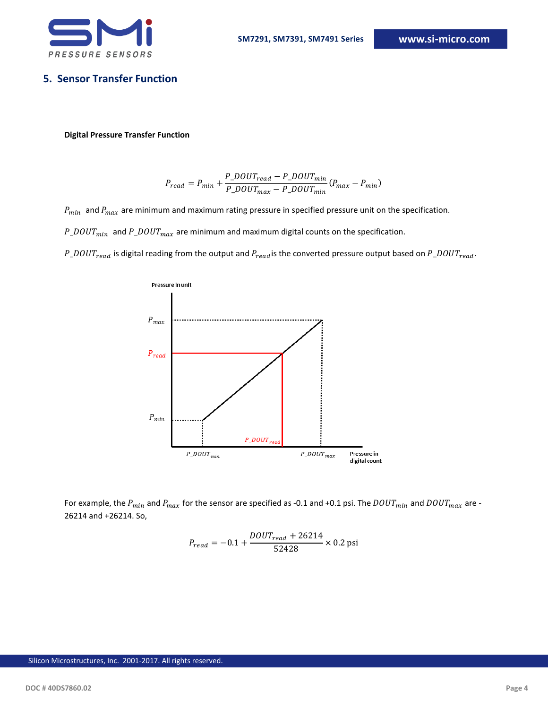

# **5. Sensor Transfer Function**

#### **Digital Pressure Transfer Function**

$$
P_{read} = P_{min} + \frac{P\_DOUT_{read} - P\_DOUT_{min}}{P\_DOUT_{max} - P\_DOUT_{min}}(P_{max} - P_{min})
$$

 $P_{min}$  and  $P_{max}$  are minimum and maximum rating pressure in specified pressure unit on the specification.

 $P\_DOUT_{min}$  and  $P\_DOUT_{max}$  are minimum and maximum digital counts on the specification.

 $P\_DOUT_{read}$  is digital reading from the output and  $P_{read}$  is the converted pressure output based on  $P\_DOUT_{read}$ .



For example, the  $P_{min}$  and  $P_{max}$  for the sensor are specified as -0.1 and +0.1 psi. The  $DOUT_{min}$  and  $DOUT_{max}$  are -26214 and +26214. So,

$$
P_{read} = -0.1 + \frac{DOUT_{read} + 26214}{52428} \times 0.2 \text{ psi}
$$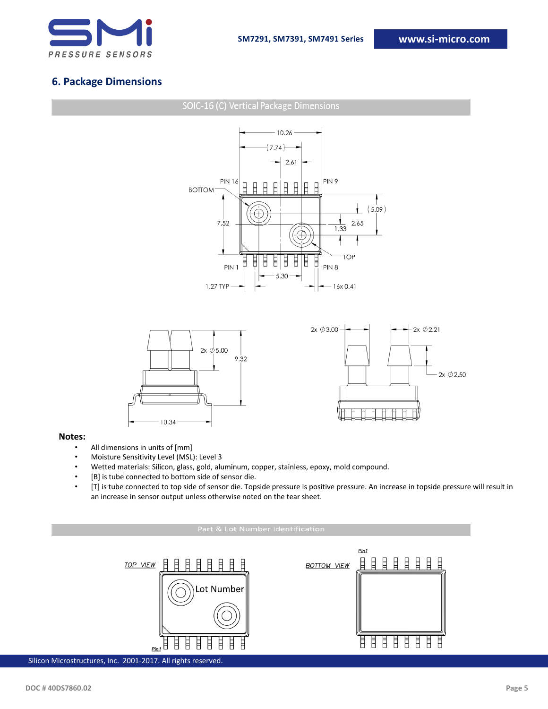

# **6. Package Dimensions**



#### **Notes:**

- All dimensions in units of [mm]
- Moisture Sensitivity Level (MSL): Level 3
- Wetted materials: Silicon, glass, gold, aluminum, copper, stainless, epoxy, mold compound.
- [B] is tube connected to bottom side of sensor die.
- [T] is tube connected to top side of sensor die. Topside pressure is positive pressure. An increase in topside pressure will result in an increase in sensor output unless otherwise noted on the tear sheet.

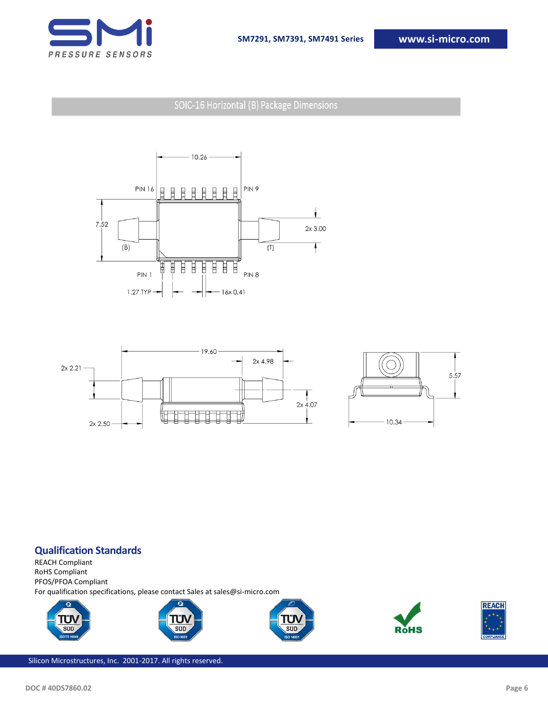

SOIC-16 Horizontal (B) Package Dimensions







### **Qualification Standards**

REACH Compliant RoHS Compliant PFOS/PFOA Compliant For qualification specifications, please contact Sales at sales@si-micro.com









Silicon Microstructures, Inc. 2001-2017. All rights reserved.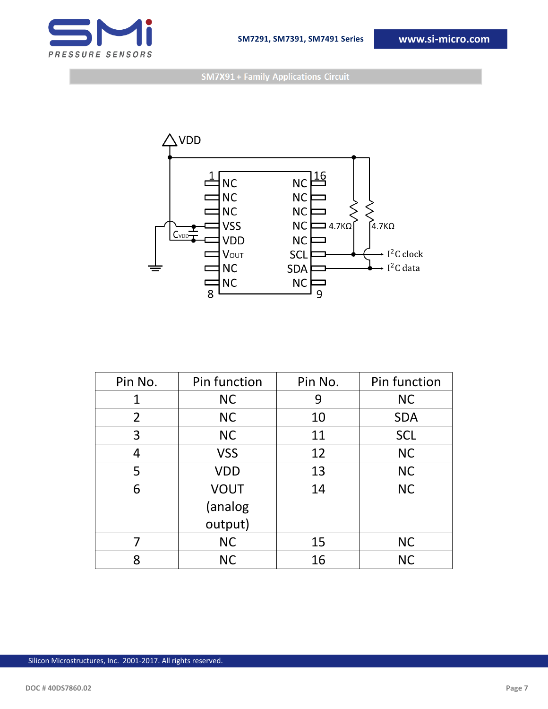

**SM7X91 + Family Applications Circuit** 



| Pin No.          | Pin function | Pin No. | Pin function |
|------------------|--------------|---------|--------------|
| 1                | <b>NC</b>    | 9       | <b>NC</b>    |
| $\overline{2}$   | <b>NC</b>    | 10      | <b>SDA</b>   |
| 3                | <b>NC</b>    | 11      | <b>SCL</b>   |
| 4                | <b>VSS</b>   | 12      | <b>NC</b>    |
| 5                | <b>VDD</b>   | 13      | <b>NC</b>    |
| <b>VOUT</b><br>6 |              | 14      | <b>NC</b>    |
|                  | (analog      |         |              |
|                  | output)      |         |              |
| 7                | <b>NC</b>    | 15      | <b>NC</b>    |
| 8                | <b>NC</b>    | 16      | <b>NC</b>    |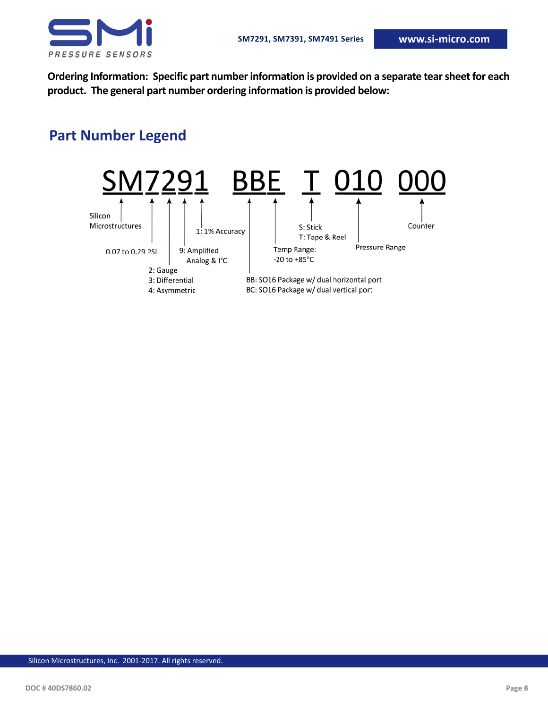

**Ordering Information: Specific part number information is provided on a separate tear sheet for each product. The general part number ordering information is provided below:**

# **Part Number Legend**